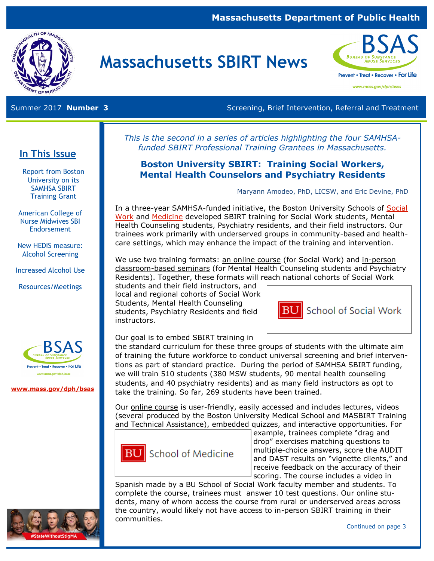#### **Massachusetts Department of Public Health**



# **Massachusetts SBIRT News**



www.mass.gov/dph/bsas

Summer 2017 **Number 3 Screening, Brief Intervention, Referral and Treatment** Screening, Brief Intervention, Referral and Treatment

*This is the second in a series of articles highlighting the four SAMHSAfunded SBIRT Professional Training Grantees in Massachusetts.* 

#### **Boston University SBIRT: Training Social Workers, Mental Health Counselors and Psychiatry Residents**

Maryann Amodeo, PhD, LICSW, and Eric Devine, PhD

In a three-year SAMHSA-funded initiative, the Boston University Schools of [Social](http://www.bu.edu/ssw/)  [Work](http://www.bu.edu/ssw/) and [Medicine](https://www.bumc.bu.edu/busm/) developed SBIRT training for Social Work students, Mental Health Counseling students, Psychiatry residents, and their field instructors. Our trainees work primarily with underserved groups in community-based and healthcare settings, which may enhance the impact of the training and intervention.

We use two training formats: an online course (for Social Work) and in-person classroom-based seminars (for Mental Health Counseling students and Psychiatry Residents). Together, these formats will reach national cohorts of Social Work

students and their field instructors, and local and regional cohorts of Social Work Students, Mental Health Counseling students, Psychiatry Residents and field instructors.

Our goal is to embed SBIRT training in

the standard curriculum for these three groups of students with the ultimate aim of training the future workforce to conduct universal screening and brief interventions as part of standard practice. During the period of SAMHSA SBIRT funding, we will train 510 students (380 MSW students, 90 mental health counseling students, and 40 psychiatry residents) and as many field instructors as opt to take the training. So far, 269 students have been trained.

Our online course is user-friendly, easily accessed and includes lectures, videos (several produced by the Boston University Medical School and MASBIRT Training and Technical Assistance), embedded quizzes, and interactive opportunities. For



example, trainees complete "drag and drop" exercises matching questions to multiple-choice answers, score the AUDIT and DAST results on "vignette clients," and receive feedback on the accuracy of their scoring. The course includes a video in

**BU** School of Social Work

Spanish made by a BU School of Social Work faculty member and students. To complete the course, trainees must answer 10 test questions. Our online students, many of whom access the course from rural or underserved areas across the country, would likely not have access to in-person SBIRT training in their communities.

#### **In This Issue**

Report from Boston University on its SAMHSA SBIRT Training Grant

American College of Nurse Midwives SBI **Endorsement** 

New HEDIS measure: Alcohol Screening

Increased Alcohol Use

Resources/Meetings



**[www.mass.gov/dph/bsas](http://www.mass.gov/dph/bsas)**

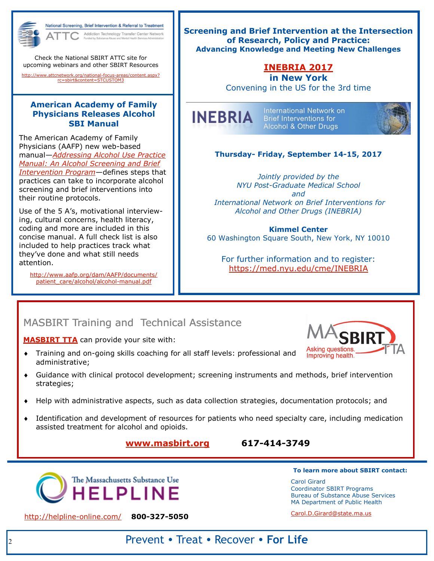

National Screening, Brief Intervention & Referral to Treatment Addiction Technology Transfer Center Network

Check the National SBIRT ATTC site for upcoming webinars and other SBIRT Resources

[http://www.attcnetwork.org/national-focus-areas/content.aspx?](http://www.attcnetwork.org/national-focus-areas/content.aspx?rc=sbirt&content=STCUSTOM3) [rc=sbirt&content=STCUSTOM3](http://www.attcnetwork.org/national-focus-areas/content.aspx?rc=sbirt&content=STCUSTOM3)

#### **American Academy of Family Physicians Releases Alcohol SBI Manual**

The American Academy of Family Physicians (AAFP) new web-based manual—*[Addressing Alcohol Use Practice](http://www.aafp.org/dam/AAFP/documents/patient_care/alcohol/alcohol-manual.pdf)  [Manual: An Alcohol Screening and Brief](http://www.aafp.org/dam/AAFP/documents/patient_care/alcohol/alcohol-manual.pdf)  [Intervention Program](http://www.aafp.org/dam/AAFP/documents/patient_care/alcohol/alcohol-manual.pdf)—*defines steps that practices can take to incorporate alcohol screening and brief interventions into their routine protocols.

Use of the 5 A's, motivational interviewing, cultural concerns, health literacy, coding and more are included in this concise manual. A full check list is also included to help practices track what they've done and what still needs attention.

[http://www.aafp.org/dam/AAFP/documents/](http://www.aafp.org/dam/AAFP/documents/patient_care/alcohol/alcohol-manual.pdf) [patient\\_care/alcohol/alcohol-manual.pdf](http://www.aafp.org/dam/AAFP/documents/patient_care/alcohol/alcohol-manual.pdf)

**Screening and Brief Intervention at the Intersection of Research, Policy and Practice: Advancing Knowledge and Meeting New Challenges**

### **[INEBRIA 2017](http://www.med.nyu.edu/cme/INEBRIA)**

**in New York** Convening in the US for the 3rd time



International Network on **Brief Interventions for** Alcohol & Other Drugs



#### **Thursday- Friday, September 14-15, 2017**

*Jointly provided by the NYU Post-Graduate Medical School and International Network on Brief Interventions for Alcohol and Other Drugs (INEBRIA)*

#### **Kimmel Center**

60 Washington Square South, New York, NY 10010

For further information and to register: <https://med.nyu.edu/cme/INEBRIA>

### MASBIRT Training and Technical Assistance

**[MASBIRT TTA](http://www.masbirt.org/)** can provide your site with:

- Training and on-going skills coaching for all staff levels: professional and administrative;
- Guidance with clinical protocol development; screening instruments and methods, brief intervention strategies;
- Help with administrative aspects, such as data collection strategies, documentation protocols; and
- Identification and development of resources for patients who need specialty care, including medication assisted treatment for alcohol and opioids.

#### **[www.masbirt.org](http://www.masbirt.org/) 617-414-3749**



**To learn more about SBIRT contact:** 

Carol Girard Coordinator SBIRT Programs Bureau of Substance Abuse Services MA Department of Public Health

<http://helpline-online.com/>**800-327-5050** 

[Carol.D.Girard@state.ma.us](mailto:%20Carol.D.Girard@state.ma.us)

Asking questions. Improving health.

Prevent • Treat • Recover • **For Life**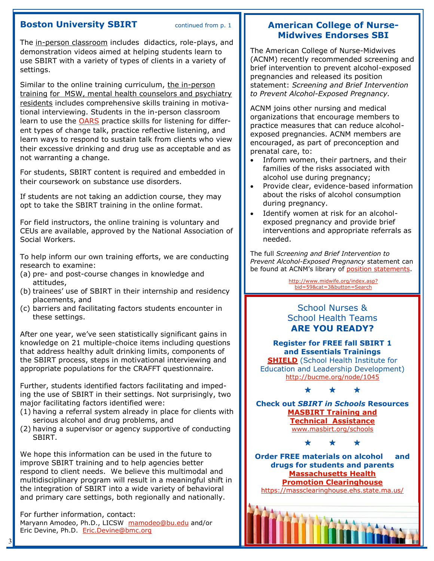#### **Boston University SBIRT** continued from p. 1

The in-person classroom includes didactics, role-plays, and demonstration videos aimed at helping students learn to use SBIRT with a variety of types of clients in a variety of settings.

Similar to the online training curriculum, the in-person training for MSW, mental health counselors and psychiatry residents includes comprehensive skills training in motivational interviewing. Students in the in-person classroom learn to use the [OARS](http://themotivationalinterview.blogspot.com/2010/01/oars.html) practice skills for listening for different types of change talk, practice reflective listening, and learn ways to respond to sustain talk from clients who view their excessive drinking and drug use as acceptable and as not warranting a change.

For students, SBIRT content is required and embedded in their coursework on substance use disorders.

If students are not taking an addiction course, they may opt to take the SBIRT training in the online format.

For field instructors, the online training is voluntary and CEUs are available, approved by the National Association of Social Workers.

To help inform our own training efforts, we are conducting research to examine:

- (a) pre- and post-course changes in knowledge and attitudes,
- (b) trainees' use of SBIRT in their internship and residency placements, and
- (c) barriers and facilitating factors students encounter in these settings.

After one year, we've seen statistically significant gains in knowledge on 21 multiple-choice items including questions that address healthy adult drinking limits, components of the SBIRT process, steps in motivational interviewing and appropriate populations for the CRAFFT questionnaire.

Further, students identified factors facilitating and impeding the use of SBIRT in their settings. Not surprisingly, two major facilitating factors identified were:

- (1) having a referral system already in place for clients with serious alcohol and drug problems, and
- (2) having a supervisor or agency supportive of conducting SBIRT.

We hope this information can be used in the future to improve SBIRT training and to help agencies better respond to client needs. We believe this multimodal and multidisciplinary program will result in a meaningful shift in the integration of SBIRT into a wide variety of behavioral and primary care settings, both regionally and nationally.

For further information, contact: Maryann Amodeo, Ph.D., LICSW [mamodeo@bu.edu](mailto:mamodeo@bu.edu) and/or Eric Devine, Ph.D. [Eric.Devine@bmc.org](mailto:Eric.Devine@bmc.org)

3

#### **American College of Nurse-Midwives Endorses SBI**

The American College of Nurse-Midwives (ACNM) recently recommended screening and brief intervention to prevent alcohol-exposed pregnancies and released its position statement: *[Screening and Brief Intervention](https://urldefense.proofpoint.com/v2/url?u=http-3A__midwife.org_ACNM_files_ACNMLibraryData_UPLOADFILENAME_000000000309_ScreeningBriefInterventionPreventAlcoholExposedPregnancyMay2017.pdf&d=DwMGaQ&c=lDF7oMaPKXpkYvev9V-fVahWL0QWnGCCAfCDz1Bns_w&r=TTwRPctFBR7566d)  [to Prevent Alcohol-Exposed Pregnancy.](https://urldefense.proofpoint.com/v2/url?u=http-3A__midwife.org_ACNM_files_ACNMLibraryData_UPLOADFILENAME_000000000309_ScreeningBriefInterventionPreventAlcoholExposedPregnancyMay2017.pdf&d=DwMGaQ&c=lDF7oMaPKXpkYvev9V-fVahWL0QWnGCCAfCDz1Bns_w&r=TTwRPctFBR7566d)* 

ACNM joins other nursing and medical organizations that encourage members to practice measures that can reduce alcoholexposed pregnancies. ACNM members are encouraged, as part of preconception and prenatal care, to:

- Inform women, their partners, and their families of the risks associated with alcohol use during pregnancy;
- Provide clear, evidence-based information about the risks of alcohol consumption during pregnancy.
- Identify women at risk for an alcoholexposed pregnancy and provide brief interventions and appropriate referrals as needed.

The full *[Screening and Brief Intervention to](https://urldefense.proofpoint.com/v2/url?u=http-3A__midwife.org_ACNM_files_ACNMLibraryData_UPLOADFILENAME_000000000309_ScreeningBriefInterventionPreventAlcoholExposedPregnancyMay2017.pdf&d=DwMGaQ&c=lDF7oMaPKXpkYvev9V-fVahWL0QWnGCCAfCDz1Bns_w&r=TTwRPctFBR7566d)  [Prevent Alcohol-Exposed Pregnancy](https://urldefense.proofpoint.com/v2/url?u=http-3A__midwife.org_ACNM_files_ACNMLibraryData_UPLOADFILENAME_000000000309_ScreeningBriefInterventionPreventAlcoholExposedPregnancyMay2017.pdf&d=DwMGaQ&c=lDF7oMaPKXpkYvev9V-fVahWL0QWnGCCAfCDz1Bns_w&r=TTwRPctFBR7566d)* statement can be found at ACNM's library of [position statements.](http://www.midwife.org/index.asp?bid=59&cat=3&button=Search)

> [http://www.midwife.org/index.asp?](http://www.midwife.org/index.asp?bid=59&cat=3&button=Search) [bid=59&cat=3&button=Search](http://www.midwife.org/index.asp?bid=59&cat=3&button=Search)

#### School Nurses & School Health Teams **ARE YOU READY?**

**Register for FREE fall SBIRT 1 and Essentials Trainings [SHIELD](http://www.SHIELD-BU.org)** (School Health Institute for Education and Leadership Development) <http://bucme.org/node/1045>

\* \* \*

**Check out** *SBIRT in Schools* **Resources [MASBIRT Training and](http://www.masbirt.org)  [Technical Assistance](http://www.masbirt.org)** [www.masbirt.org/schools](http://www.masbirt.org/schools)

\* \* \*

**Order FREE materials on alcohol and drugs for students and parents [Massachusetts Health](https://massclearinghouse.ehs.state.ma.us/)  [Promotion Clearinghouse](https://massclearinghouse.ehs.state.ma.us/)** <https://massclearinghouse.ehs.state.ma.us/>